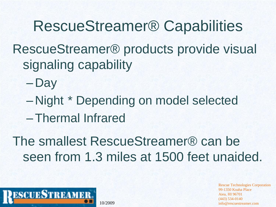RescueStreamer® Capabilities RescueStreamer® products provide visual signaling capability

- Day
- Night \* Depending on model selected
- –Thermal Infrared

The smallest RescueStreamer® can be seen from 1.3 miles at 1500 feet unaided.

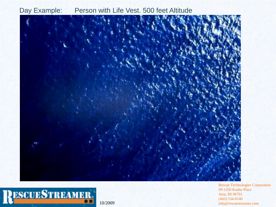

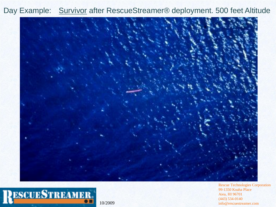Day Example: Survivor after RescueStreamer® deployment. 500 feet Altitude



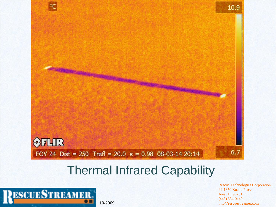

#### Thermal Infrared Capability

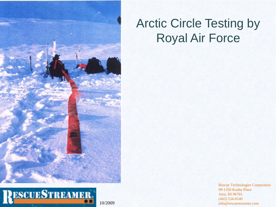

## **ESCUESTREAMER.**

#### Arctic Circle Testing by Royal Air Force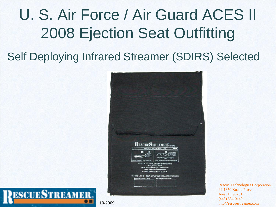## U. S. Air Force / Air Guard ACES II 2008 Ejection Seat Outfitting

Self Deploying Infrared Streamer (SDIRS) Selected



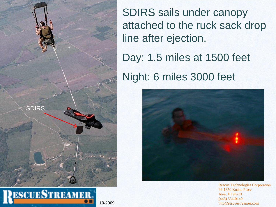

SDIRS sails under canopy attached to the ruck sack drop line after ejection.

Day: 1.5 miles at 1500 feet

Night: 6 miles 3000 feet

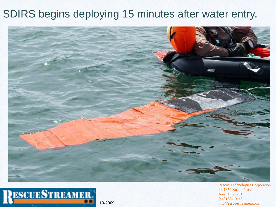#### SDIRS begins deploying 15 minutes after water entry.



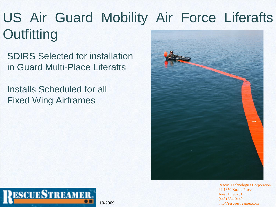## US Air Guard Mobility Air Force Liferafts **Outfitting**

SDIRS Selected for installation in Guard Multi-Place Liferafts

Installs Scheduled for all Fixed Wing Airframes



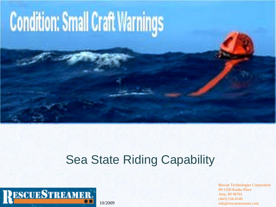# **Condition: Small Craft Warnings**

#### Sea State Riding Capability

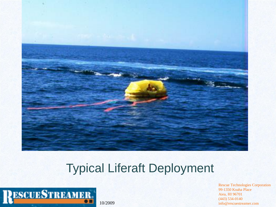

#### Typical Liferaft Deployment

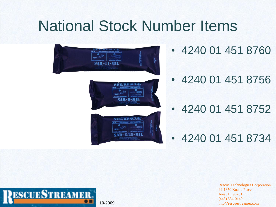## National Stock Number Items



- 4240 01 451 8760
- 4240 01 451 8756

• 4240 01 451 8752

• 4240 01 451 8734

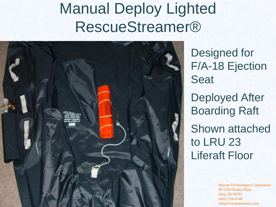## Manual Deploy Lighted RescueStreamer®



Designed for F/A-18 Ejection Seat Deployed After Boarding Raft Shown attached to LRU 23 Liferaft Floor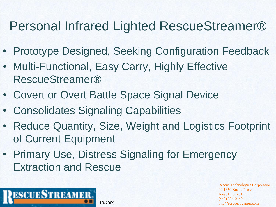### Personal Infrared Lighted RescueStreamer®

- Prototype Designed, Seeking Configuration Feedback
- Multi-Functional, Easy Carry, Highly Effective RescueStreamer®
- Covert or Overt Battle Space Signal Device
- Consolidates Signaling Capabilities
- Reduce Quantity, Size, Weight and Logistics Footprint of Current Equipment
- Primary Use, Distress Signaling for Emergency Extraction and Rescue